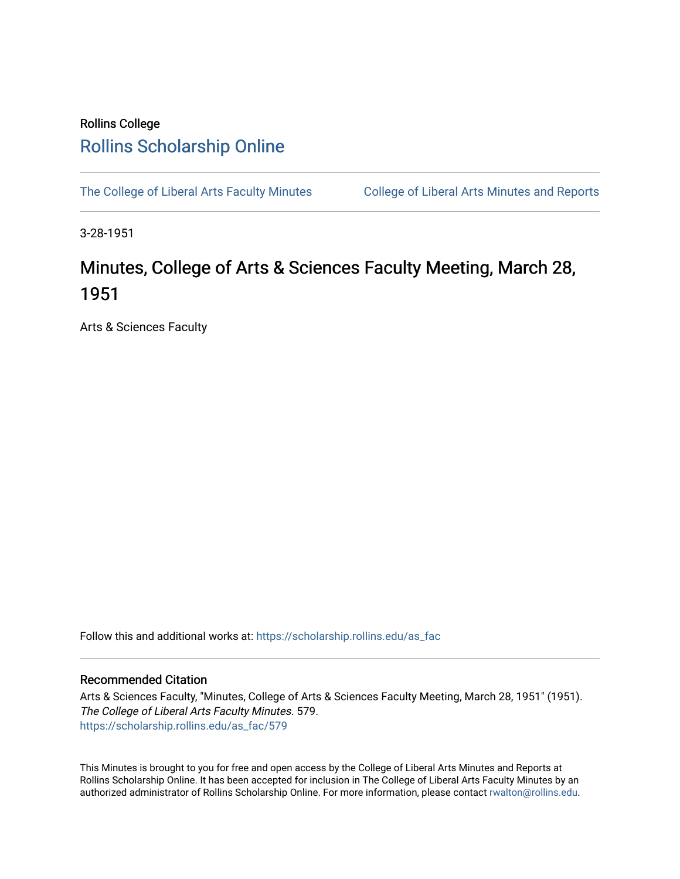## Rollins College [Rollins Scholarship Online](https://scholarship.rollins.edu/)

[The College of Liberal Arts Faculty Minutes](https://scholarship.rollins.edu/as_fac) College of Liberal Arts Minutes and Reports

3-28-1951

## Minutes, College of Arts & Sciences Faculty Meeting, March 28, 1951

Arts & Sciences Faculty

Follow this and additional works at: [https://scholarship.rollins.edu/as\\_fac](https://scholarship.rollins.edu/as_fac?utm_source=scholarship.rollins.edu%2Fas_fac%2F579&utm_medium=PDF&utm_campaign=PDFCoverPages) 

## Recommended Citation

Arts & Sciences Faculty, "Minutes, College of Arts & Sciences Faculty Meeting, March 28, 1951" (1951). The College of Liberal Arts Faculty Minutes. 579. [https://scholarship.rollins.edu/as\\_fac/579](https://scholarship.rollins.edu/as_fac/579?utm_source=scholarship.rollins.edu%2Fas_fac%2F579&utm_medium=PDF&utm_campaign=PDFCoverPages) 

This Minutes is brought to you for free and open access by the College of Liberal Arts Minutes and Reports at Rollins Scholarship Online. It has been accepted for inclusion in The College of Liberal Arts Faculty Minutes by an authorized administrator of Rollins Scholarship Online. For more information, please contact [rwalton@rollins.edu](mailto:rwalton@rollins.edu).